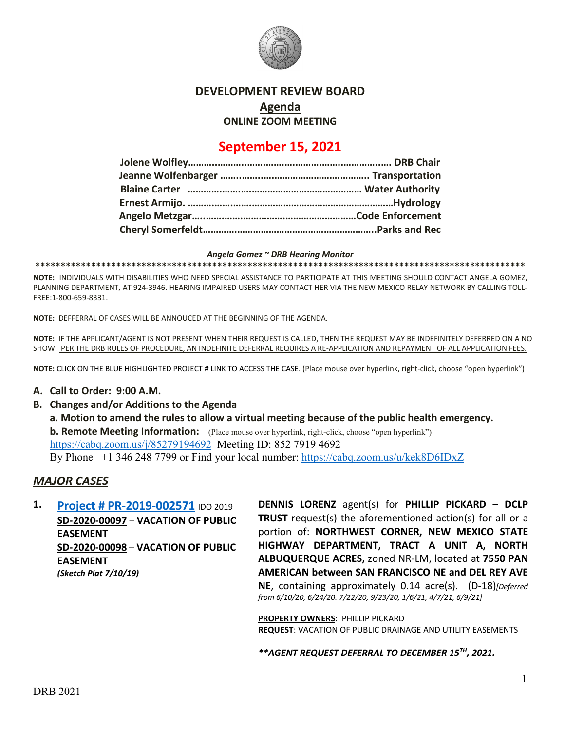

### **DEVELOPMENT REVIEW BOARD**

**Agenda**

**ONLINE ZOOM MEETING**

# **September 15, 2021**

*Angela Gomez ~ DRB Hearing Monitor*

**\*\*\*\*\*\*\*\*\*\*\*\*\*\*\*\*\*\*\*\*\*\*\*\*\*\*\*\*\*\*\*\*\*\*\*\*\*\*\*\*\*\*\*\*\*\*\*\*\*\*\*\*\*\*\*\*\*\*\*\*\*\*\*\*\*\*\*\*\*\*\*\*\*\*\*\*\*\*\*\*\*\*\*\*\*\*\*\*\*\*\*\*\*\*\*\*\***

**NOTE:** INDIVIDUALS WITH DISABILITIES WHO NEED SPECIAL ASSISTANCE TO PARTICIPATE AT THIS MEETING SHOULD CONTACT ANGELA GOMEZ, PLANNING DEPARTMENT, AT 924-3946. HEARING IMPAIRED USERS MAY CONTACT HER VIA THE NEW MEXICO RELAY NETWORK BY CALLING TOLL-FREE:1-800-659-8331.

**NOTE:** DEFFERRAL OF CASES WILL BE ANNOUCED AT THE BEGINNING OF THE AGENDA.

**NOTE:** IF THE APPLICANT/AGENT IS NOT PRESENT WHEN THEIR REQUEST IS CALLED, THEN THE REQUEST MAY BE INDEFINITELY DEFERRED ON A NO SHOW. PER THE DRB RULES OF PROCEDURE, AN INDEFINITE DEFERRAL REQUIRES A RE-APPLICATION AND REPAYMENT OF ALL APPLICATION FEES.

**NOTE:** CLICK ON THE BLUE HIGHLIGHTED PROJECT # LINK TO ACCESS THE CASE. (Place mouse over hyperlink, right-click, choose "open hyperlink")

#### **A. Call to Order: 9:00 A.M.**

**B. Changes and/or Additions to the Agenda a. Motion to amend the rules to allow a virtual meeting because of the public health emergency. b. Remote Meeting Information:** (Place mouse over hyperlink, right-click, choose "open hyperlink") <https://cabq.zoom.us/j/85279194692> Meeting ID: 852 7919 4692 By Phone +1 346 248 7799 or Find your local number:<https://cabq.zoom.us/u/kek8D6IDxZ>

#### *MAJOR CASES*

**1. [Project # PR-2019-002571](http://data.cabq.gov/government/planning/DRB/PR-2019-002571/DRB%20Submittals/)** IDO 2019 **SD-2020-00097** – **VACATION OF PUBLIC EASEMENT SD-2020-00098** – **VACATION OF PUBLIC EASEMENT** *(Sketch Plat 7/10/19)*

**DENNIS LORENZ** agent(s) for **PHILLIP PICKARD – DCLP TRUST** request(s) the aforementioned action(s) for all or a portion of: **NORTHWEST CORNER, NEW MEXICO STATE HIGHWAY DEPARTMENT, TRACT A UNIT A, NORTH ALBUQUERQUE ACRES,** zoned NR-LM, located at **7550 PAN AMERICAN between SAN FRANCISCO NE and DEL REY AVE NE**, containing approximately 0.14 acre(s). (D-18)*[Deferred from 6/10/20, 6/24/20. 7/22/20, 9/23/20, 1/6/21, 4/7/21, 6/9/21]*

**PROPERTY OWNERS**: PHILLIP PICKARD **REQUEST**: VACATION OF PUBLIC DRAINAGE AND UTILITY EASEMENTS

*\*\*AGENT REQUEST DEFERRAL TO DECEMBER 15TH, 2021.*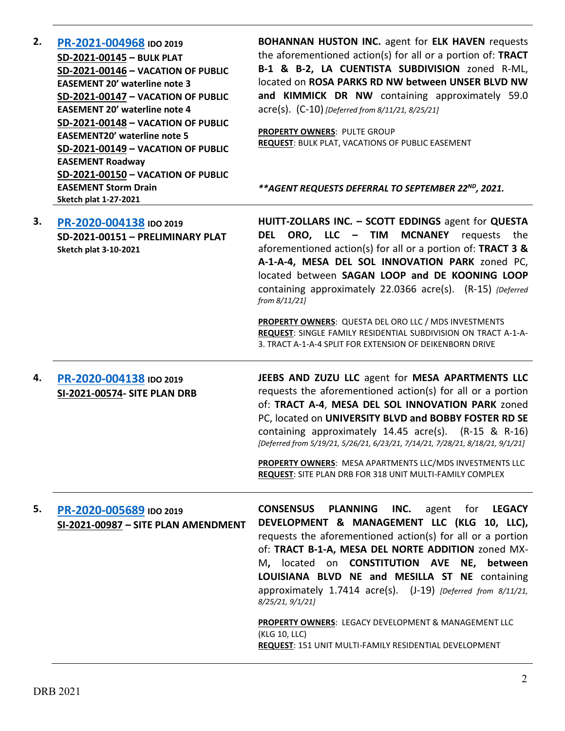| 2. | PR-2021-004968 IDO 2019<br>SD-2021-00145 - BULK PLAT<br>SD-2021-00146 - VACATION OF PUBLIC<br><b>EASEMENT 20' waterline note 3</b><br>SD-2021-00147 - VACATION OF PUBLIC<br><b>EASEMENT 20' waterline note 4</b><br>SD-2021-00148 - VACATION OF PUBLIC<br><b>EASEMENT20' waterline note 5</b><br>SD-2021-00149 - VACATION OF PUBLIC<br><b>EASEMENT Roadway</b> | <b>BOHANNAN HUSTON INC.</b> agent for <b>ELK HAVEN</b> requests<br>the aforementioned action(s) for all or a portion of: TRACT<br>B-1 & B-2, LA CUENTISTA SUBDIVISION zoned R-ML,<br>located on ROSA PARKS RD NW between UNSER BLVD NW<br>and KIMMICK DR NW containing approximately 59.0<br>acre(s). (C-10) [Deferred from 8/11/21, 8/25/21]<br>PROPERTY OWNERS: PULTE GROUP<br><b>REQUEST: BULK PLAT, VACATIONS OF PUBLIC EASEMENT</b>                                                                                       |
|----|----------------------------------------------------------------------------------------------------------------------------------------------------------------------------------------------------------------------------------------------------------------------------------------------------------------------------------------------------------------|--------------------------------------------------------------------------------------------------------------------------------------------------------------------------------------------------------------------------------------------------------------------------------------------------------------------------------------------------------------------------------------------------------------------------------------------------------------------------------------------------------------------------------|
|    | SD-2021-00150 - VACATION OF PUBLIC<br><b>EASEMENT Storm Drain</b><br>Sketch plat 1-27-2021                                                                                                                                                                                                                                                                     | ** AGENT REQUESTS DEFERRAL TO SEPTEMBER 22 <sup>ND</sup> , 2021.                                                                                                                                                                                                                                                                                                                                                                                                                                                               |
| 3. | PR-2020-004138 IDO 2019<br>SD-2021-00151 - PRELIMINARY PLAT<br><b>Sketch plat 3-10-2021</b>                                                                                                                                                                                                                                                                    | HUITT-ZOLLARS INC. - SCOTT EDDINGS agent for QUESTA<br><b>ORO, LLC - TIM MCNANEY</b> requests the<br><b>DEL</b><br>aforementioned action(s) for all or a portion of: TRACT 3 &<br>A-1-A-4, MESA DEL SOL INNOVATION PARK zoned PC,<br>located between SAGAN LOOP and DE KOONING LOOP<br>containing approximately 22.0366 acre(s). (R-15) {Deferred<br>from 8/11/21]                                                                                                                                                             |
|    |                                                                                                                                                                                                                                                                                                                                                                | PROPERTY OWNERS: QUESTA DEL ORO LLC / MDS INVESTMENTS<br>REQUEST: SINGLE FAMILY RESIDENTIAL SUBDIVISION ON TRACT A-1-A-<br>3. TRACT A-1-A-4 SPLIT FOR EXTENSION OF DEIKENBORN DRIVE                                                                                                                                                                                                                                                                                                                                            |
| 4. | PR-2020-004138 IDO 2019<br><b>SI-2021-00574- SITE PLAN DRB</b>                                                                                                                                                                                                                                                                                                 | JEEBS AND ZUZU LLC agent for MESA APARTMENTS LLC<br>requests the aforementioned action(s) for all or a portion<br>of: TRACT A-4, MESA DEL SOL INNOVATION PARK zoned<br>PC, located on UNIVERSITY BLVD and BOBBY FOSTER RD SE<br>containing approximately 14.45 acre(s). (R-15 & R-16)<br>[Deferred from 5/19/21, 5/26/21, 6/23/21, 7/14/21, 7/28/21, 8/18/21, 9/1/21]<br>PROPERTY OWNERS: MESA APARTMENTS LLC/MDS INVESTMENTS LLC<br><b>REQUEST: SITE PLAN DRB FOR 318 UNIT MULTI-FAMILY COMPLEX</b>                           |
| 5. | PR-2020-005689 IDO 2019<br>SI-2021-00987 - SITE PLAN AMENDMENT                                                                                                                                                                                                                                                                                                 | <b>CONSENSUS</b><br><b>PLANNING</b><br>INC.<br>agent<br>for<br><b>LEGACY</b><br>DEVELOPMENT & MANAGEMENT LLC (KLG 10, LLC),<br>requests the aforementioned action(s) for all or a portion<br>of: TRACT B-1-A, MESA DEL NORTE ADDITION zoned MX-<br>M, located on <b>CONSTITUTION</b> AVE NE, between<br>LOUISIANA BLVD NE and MESILLA ST NE containing<br>approximately 1.7414 acre(s). (J-19) [Deferred from 8/11/21,<br>8/25/21, 9/1/21]<br><b>PROPERTY OWNERS: LEGACY DEVELOPMENT &amp; MANAGEMENT LLC</b><br>(KLG 10, LLC) |
|    |                                                                                                                                                                                                                                                                                                                                                                | REQUEST: 151 UNIT MULTI-FAMILY RESIDENTIAL DEVELOPMENT                                                                                                                                                                                                                                                                                                                                                                                                                                                                         |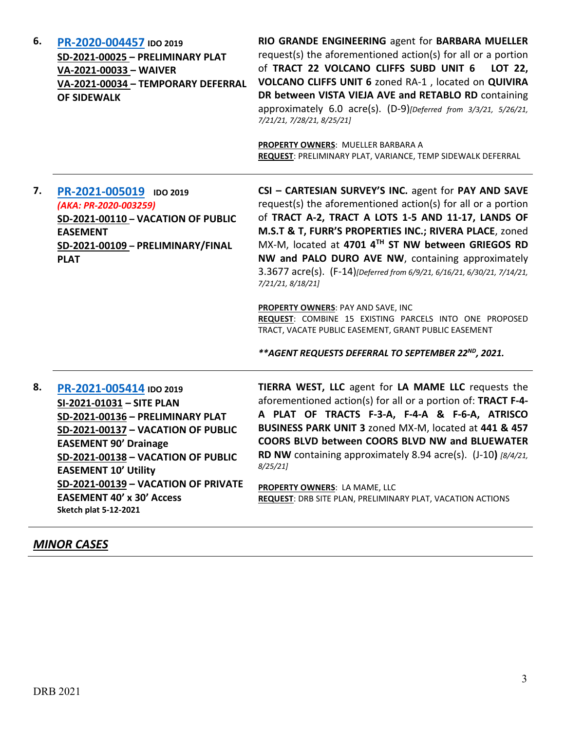| 6. | PR-2020-004457 IDO 2019<br>SD-2021-00025 - PRELIMINARY PLAT<br>VA-2021-00033 - WAIVER<br>VA-2021-00034 - TEMPORARY DEFERRAL<br><b>OF SIDEWALK</b>                                                                                                                                                                                              | RIO GRANDE ENGINEERING agent for BARBARA MUELLER<br>request(s) the aforementioned action(s) for all or a portion<br>of TRACT 22 VOLCANO CLIFFS SUBD UNIT 6<br>LOT 22,<br>VOLCANO CLIFFS UNIT 6 zoned RA-1, located on QUIVIRA<br>DR between VISTA VIEJA AVE and RETABLO RD containing<br>approximately 6.0 acre(s). (D-9)[Deferred from 3/3/21, 5/26/21,<br>7/21/21, 7/28/21, 8/25/21]<br>PROPERTY OWNERS: MUELLER BARBARA A<br>REQUEST: PRELIMINARY PLAT, VARIANCE, TEMP SIDEWALK DEFERRAL                                                                                                                                                                                 |
|----|------------------------------------------------------------------------------------------------------------------------------------------------------------------------------------------------------------------------------------------------------------------------------------------------------------------------------------------------|-----------------------------------------------------------------------------------------------------------------------------------------------------------------------------------------------------------------------------------------------------------------------------------------------------------------------------------------------------------------------------------------------------------------------------------------------------------------------------------------------------------------------------------------------------------------------------------------------------------------------------------------------------------------------------|
| 7. | PR-2021-005019 IDO 2019<br>(AKA: PR-2020-003259)<br>SD-2021-00110 - VACATION OF PUBLIC<br><b>EASEMENT</b><br>SD-2021-00109 - PRELIMINARY/FINAL<br><b>PLAT</b>                                                                                                                                                                                  | CSI - CARTESIAN SURVEY'S INC. agent for PAY AND SAVE<br>request(s) the aforementioned action(s) for all or a portion<br>of TRACT A-2, TRACT A LOTS 1-5 AND 11-17, LANDS OF<br>M.S.T & T, FURR'S PROPERTIES INC.; RIVERA PLACE, zoned<br>MX-M, located at 4701 4TH ST NW between GRIEGOS RD<br>NW and PALO DURO AVE NW, containing approximately<br>3.3677 acre(s). (F-14)[Deferred from 6/9/21, 6/16/21, 6/30/21, 7/14/21,<br>7/21/21, 8/18/21]<br>PROPERTY OWNERS: PAY AND SAVE, INC<br>REQUEST: COMBINE 15 EXISTING PARCELS INTO ONE PROPOSED<br>TRACT, VACATE PUBLIC EASEMENT, GRANT PUBLIC EASEMENT<br>** AGENT REQUESTS DEFERRAL TO SEPTEMBER 22 <sup>ND</sup> , 2021. |
| 8. | PR-2021-005414 IDO 2019<br>SI-2021-01031 - SITE PLAN<br>SD-2021-00136 - PRELIMINARY PLAT<br>SD-2021-00137 - VACATION OF PUBLIC<br><b>EASEMENT 90' Drainage</b><br>SD-2021-00138 - VACATION OF PUBLIC<br><b>EASEMENT 10' Utility</b><br>SD-2021-00139 - VACATION OF PRIVATE<br><b>EASEMENT 40' x 30' Access</b><br><b>Sketch plat 5-12-2021</b> | TIERRA WEST, LLC agent for LA MAME LLC requests the<br>aforementioned action(s) for all or a portion of: TRACT F-4-<br>A PLAT OF TRACTS F-3-A, F-4-A & F-6-A, ATRISCO<br>BUSINESS PARK UNIT 3 zoned MX-M, located at 441 & 457<br>COORS BLVD between COORS BLVD NW and BLUEWATER<br>RD NW containing approximately 8.94 acre(s). (J-10) [8/4/21,<br>8/25/21<br>PROPERTY OWNERS: LA MAME, LLC<br><b>REQUEST: DRB SITE PLAN, PRELIMINARY PLAT, VACATION ACTIONS</b>                                                                                                                                                                                                           |

## *MINOR CASES*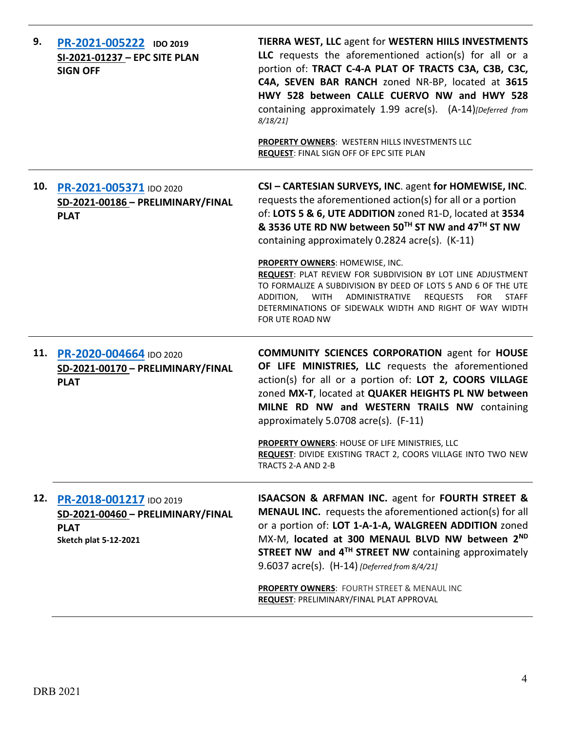| 9.  | PR-2021-005222 IDO 2019<br>SI-2021-01237 - EPC SITE PLAN<br><b>SIGN OFF</b>                                 | TIERRA WEST, LLC agent for WESTERN HIILS INVESTMENTS<br>LLC requests the aforementioned action(s) for all or a<br>portion of: TRACT C-4-A PLAT OF TRACTS C3A, C3B, C3C,<br>C4A, SEVEN BAR RANCH zoned NR-BP, located at 3615<br>HWY 528 between CALLE CUERVO NW and HWY 528<br>containing approximately 1.99 acre(s). (A-14)[Deferred from<br>8/18/21<br>PROPERTY OWNERS: WESTERN HILLS INVESTMENTS LLC<br>REQUEST: FINAL SIGN OFF OF EPC SITE PLAN |
|-----|-------------------------------------------------------------------------------------------------------------|-----------------------------------------------------------------------------------------------------------------------------------------------------------------------------------------------------------------------------------------------------------------------------------------------------------------------------------------------------------------------------------------------------------------------------------------------------|
| 10. | PR-2021-005371 IDO 2020<br>SD-2021-00186 - PRELIMINARY/FINAL<br><b>PLAT</b>                                 | CSI - CARTESIAN SURVEYS, INC. agent for HOMEWISE, INC.<br>requests the aforementioned action(s) for all or a portion<br>of: LOTS 5 & 6, UTE ADDITION zoned R1-D, located at 3534<br>& 3536 UTE RD NW between 50TH ST NW and 47TH ST NW<br>containing approximately 0.2824 acre(s). (K-11)<br>PROPERTY OWNERS: HOMEWISE, INC.                                                                                                                        |
|     |                                                                                                             | REQUEST: PLAT REVIEW FOR SUBDIVISION BY LOT LINE ADJUSTMENT<br>TO FORMALIZE A SUBDIVISION BY DEED OF LOTS 5 AND 6 OF THE UTE<br>WITH ADMINISTRATIVE<br><b>REQUESTS</b><br><b>FOR</b><br>ADDITION,<br><b>STAFF</b><br>DETERMINATIONS OF SIDEWALK WIDTH AND RIGHT OF WAY WIDTH<br>FOR UTE ROAD NW                                                                                                                                                     |
| 11. | PR-2020-004664 IDO 2020<br>SD-2021-00170 - PRELIMINARY/FINAL<br><b>PLAT</b>                                 | <b>COMMUNITY SCIENCES CORPORATION agent for HOUSE</b><br>OF LIFE MINISTRIES, LLC requests the aforementioned<br>action(s) for all or a portion of: LOT 2, COORS VILLAGE<br>zoned MX-T, located at QUAKER HEIGHTS PL NW between<br>MILNE RD NW and WESTERN TRAILS NW containing<br>approximately 5.0708 acre(s). (F-11)                                                                                                                              |
|     |                                                                                                             | PROPERTY OWNERS: HOUSE OF LIFE MINISTRIES, LLC<br>REQUEST: DIVIDE EXISTING TRACT 2, COORS VILLAGE INTO TWO NEW<br>TRACTS 2-A AND 2-B                                                                                                                                                                                                                                                                                                                |
| 12. | PR-2018-001217 IDO 2019<br>SD-2021-00460 - PRELIMINARY/FINAL<br><b>PLAT</b><br><b>Sketch plat 5-12-2021</b> | <b>ISAACSON &amp; ARFMAN INC. agent for FOURTH STREET &amp;</b><br><b>MENAUL INC.</b> requests the aforementioned action(s) for all<br>or a portion of: LOT 1-A-1-A, WALGREEN ADDITION zoned<br>MX-M, located at 300 MENAUL BLVD NW between 2ND<br>STREET NW and 4 <sup>TH</sup> STREET NW containing approximately<br>9.6037 acre(s). (H-14) [Deferred from 8/4/21]                                                                                |
|     |                                                                                                             | PROPERTY OWNERS: FOURTH STREET & MENAUL INC<br>REQUEST: PRELIMINARY/FINAL PLAT APPROVAL                                                                                                                                                                                                                                                                                                                                                             |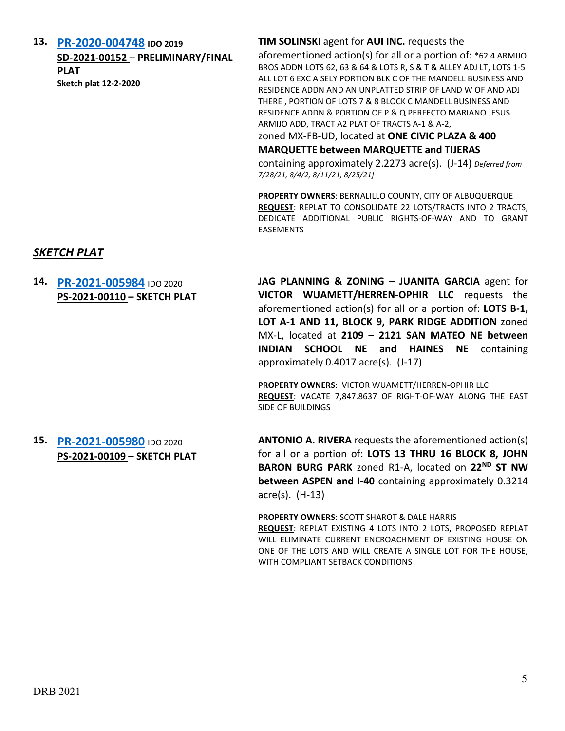| 13. | PR-2020-004748 IDO 2019<br>SD-2021-00152 - PRELIMINARY/FINAL<br><b>PLAT</b><br>Sketch plat 12-2-2020 | TIM SOLINSKI agent for AUI INC. requests the<br>aforementioned action(s) for all or a portion of: *62 4 ARMIJO<br>BROS ADDN LOTS 62, 63 & 64 & LOTS R, S & T & ALLEY ADJ LT, LOTS 1-5<br>ALL LOT 6 EXC A SELY PORTION BLK C OF THE MANDELL BUSINESS AND<br>RESIDENCE ADDN AND AN UNPLATTED STRIP OF LAND W OF AND ADJ<br>THERE, PORTION OF LOTS 7 & 8 BLOCK C MANDELL BUSINESS AND<br>RESIDENCE ADDN & PORTION OF P & Q PERFECTO MARIANO JESUS<br>ARMIJO ADD, TRACT A2 PLAT OF TRACTS A-1 & A-2,<br>zoned MX-FB-UD, located at ONE CIVIC PLAZA & 400<br><b>MARQUETTE between MARQUETTE and TIJERAS</b><br>containing approximately 2.2273 acre(s). (J-14) Deferred from<br>7/28/21, 8/4/2, 8/11/21, 8/25/21] |
|-----|------------------------------------------------------------------------------------------------------|--------------------------------------------------------------------------------------------------------------------------------------------------------------------------------------------------------------------------------------------------------------------------------------------------------------------------------------------------------------------------------------------------------------------------------------------------------------------------------------------------------------------------------------------------------------------------------------------------------------------------------------------------------------------------------------------------------------|
|     |                                                                                                      | <b>PROPERTY OWNERS: BERNALILLO COUNTY, CITY OF ALBUQUERQUE</b><br>REQUEST: REPLAT TO CONSOLIDATE 22 LOTS/TRACTS INTO 2 TRACTS,<br>DEDICATE ADDITIONAL PUBLIC RIGHTS-OF-WAY AND<br>GRANT<br>TO.<br><b>EASEMENTS</b>                                                                                                                                                                                                                                                                                                                                                                                                                                                                                           |

### *SKETCH PLAT*

| 14. PR-2021-005984 IDO 2020<br>PS-2021-00110 - SKETCH PLAT | JAG PLANNING & ZONING - JUANITA GARCIA agent for<br>VICTOR WUAMETT/HERREN-OPHIR LLC requests the<br>aforementioned action(s) for all or a portion of: LOTS B-1,<br>LOT A-1 AND 11, BLOCK 9, PARK RIDGE ADDITION zoned<br>MX-L, located at 2109 - 2121 SAN MATEO NE between<br><b>SCHOOL NE and HAINES NE containing</b><br><b>INDIAN</b><br>approximately 0.4017 acre(s). (J-17)<br>PROPERTY OWNERS: VICTOR WUAMETT/HERREN-OPHIR LLC |
|------------------------------------------------------------|--------------------------------------------------------------------------------------------------------------------------------------------------------------------------------------------------------------------------------------------------------------------------------------------------------------------------------------------------------------------------------------------------------------------------------------|
|                                                            | REQUEST: VACATE 7,847.8637 OF RIGHT-OF-WAY ALONG THE EAST<br>SIDE OF BUILDINGS                                                                                                                                                                                                                                                                                                                                                       |
|                                                            |                                                                                                                                                                                                                                                                                                                                                                                                                                      |
| 15. PR-2021-005980 IDO 2020<br>PS-2021-00109 - SKETCH PLAT | <b>ANTONIO A. RIVERA</b> requests the aforementioned action(s)<br>for all or a portion of: LOTS 13 THRU 16 BLOCK 8, JOHN<br>BARON BURG PARK zoned R1-A, located on 22 <sup>ND</sup> ST NW<br><b>between ASPEN and I-40</b> containing approximately 0.3214<br>$\text{acre}(s)$ . (H-13)                                                                                                                                              |